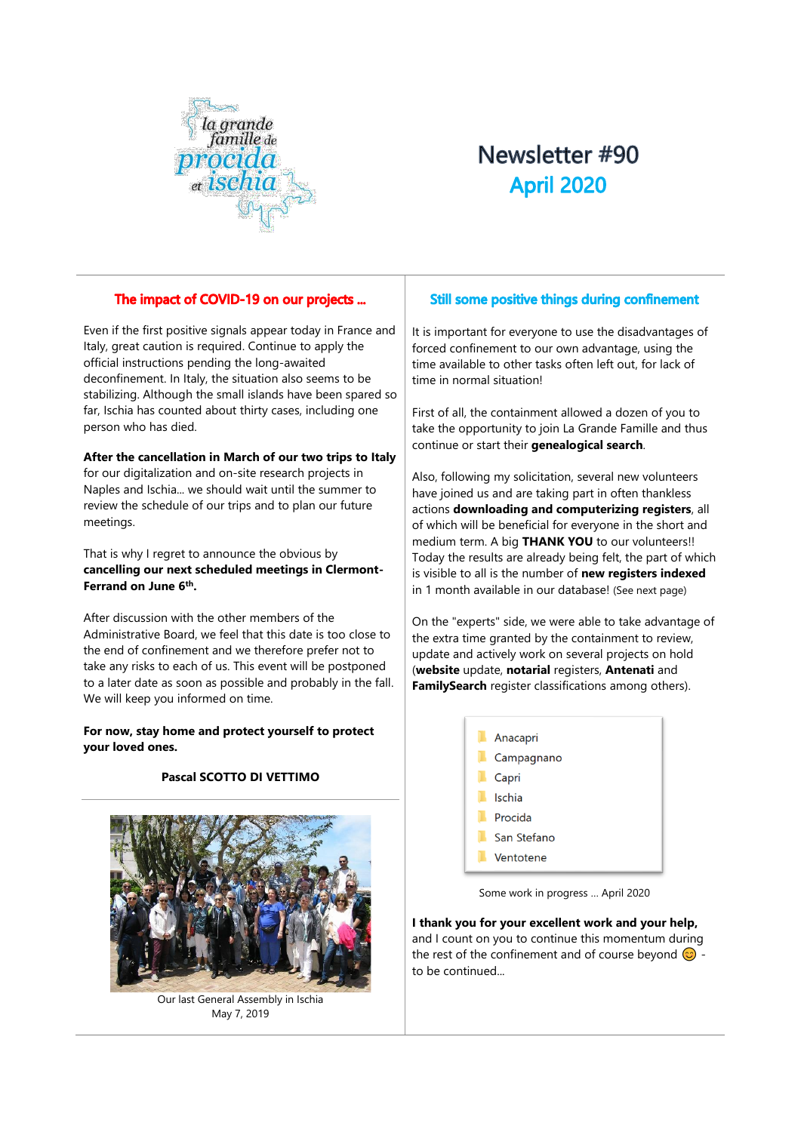

# Newsletter #90 **April 2020**

# The impact of COVID-19 on our projects ...

Even if the first positive signals appear today in France and Italy, great caution is required. Continue to apply the official instructions pending the long-awaited deconfinement. In Italy, the situation also seems to be stabilizing. Although the small islands have been spared so far, Ischia has counted about thirty cases, including one person who has died.

### **After the cancellation in March of our two trips to Italy**

for our digitalization and on-site research projects in Naples and Ischia... we should wait until the summer to review the schedule of our trips and to plan our future meetings.

That is why I regret to announce the obvious by **cancelling our next scheduled meetings in Clermont-Ferrand on June 6th .**

After discussion with the other members of the Administrative Board, we feel that this date is too close to the end of confinement and we therefore prefer not to take any risks to each of us. This event will be postponed to a later date as soon as possible and probably in the fall. We will keep you informed on time.

**For now, stay home and protect yourself to protect your loved ones.**

## **Pascal SCOTTO DI VETTIMO**



Our last General Assembly in Ischia May 7, 2019

# Still some positive things during confinement

It is important for everyone to use the disadvantages of forced confinement to our own advantage, using the time available to other tasks often left out, for lack of time in normal situation!

First of all, the containment allowed a dozen of you to take the opportunity to join La Grande Famille and thus continue or start their **genealogical search**.

Also, following my solicitation, several new volunteers have joined us and are taking part in often thankless actions **downloading and computerizing registers**, all of which will be beneficial for everyone in the short and medium term. A big **THANK YOU** to our volunteers!! Today the results are already being felt, the part of which is visible to all is the number of **new registers indexed** in 1 month available in our database! (See next page)

On the "experts" side, we were able to take advantage of the extra time granted by the containment to review, update and actively work on several projects on hold (**website** update, **notarial** registers, **Antenati** and **FamilySearch** register classifications among others).



Some work in progress … April 2020

**I thank you for your excellent work and your help,**  and I count on you to continue this momentum during the rest of the confinement and of course beyond  $\odot$  to be continued...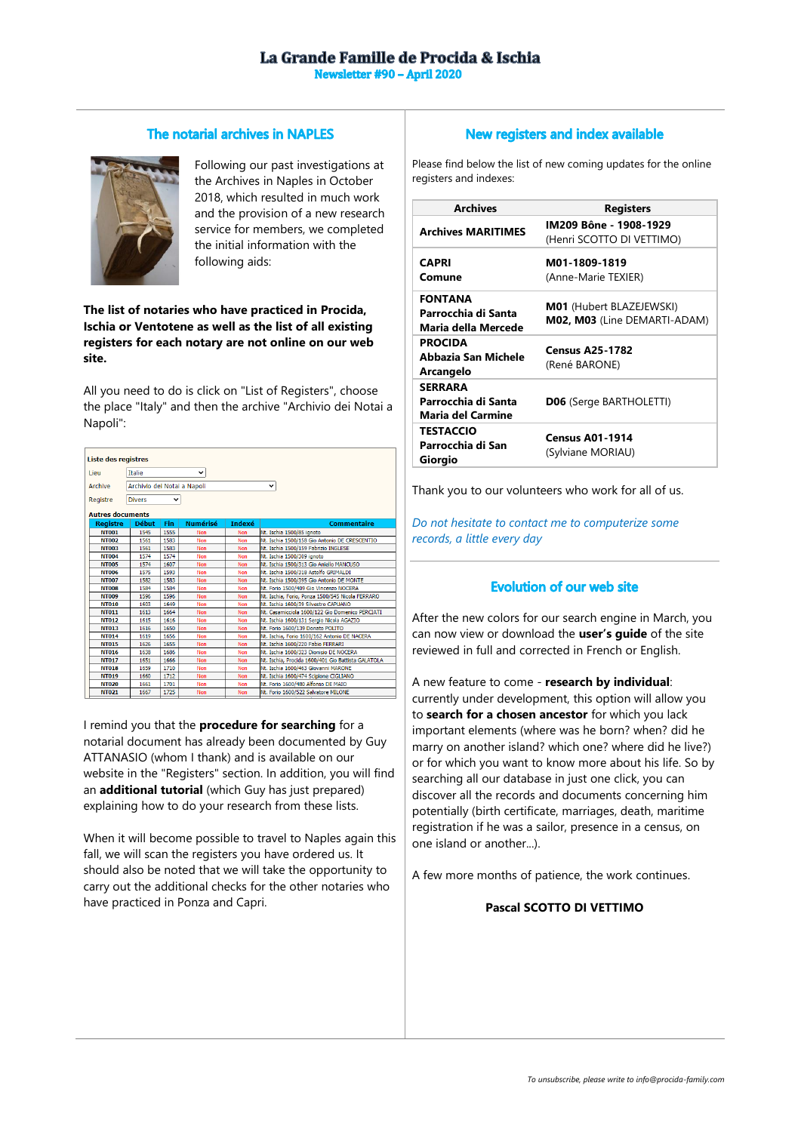#### The notarial archives in NAPLES



Following our past investigations at the Archives in Naples in October 2018, which resulted in much work and the provision of a new research service for members, we completed the initial information with the following aids:

### **The list of notaries who have practiced in Procida, Ischia or Ventotene as well as the list of all existing registers for each notary are not online on our web site.**

All you need to do is click on "List of Registers", choose the place "Italy" and then the archive "Archivio dei Notai a Napoli":

| <b>Liste des registres</b>                             |                 |                 |               |                                                    |  |
|--------------------------------------------------------|-----------------|-----------------|---------------|----------------------------------------------------|--|
| <b>Italie</b>                                          |                 | v               |               |                                                    |  |
| Archivio dei Notai a Napoli<br>Archive<br>$\checkmark$ |                 |                 |               |                                                    |  |
| <b>Divers</b>                                          |                 |                 |               |                                                    |  |
| <b>Autres documents</b>                                |                 |                 |               |                                                    |  |
| <b>Début</b>                                           | Fin             | <b>Numérisé</b> | <b>Indexé</b> | <b>Commentaire</b>                                 |  |
| 1545                                                   | 1555            | Non             | Non           | Nt. Ischia 1500/85 ignoto                          |  |
| 1561                                                   | 1583            | Non             | Non           | Nt. Ischia 1500/158 Gio Antonio DE CRESCENTIO      |  |
| 1561                                                   | 1583            | <b>Non</b>      | Non           | Nt. Ischia 1500/159 Fabrizio INGLESE               |  |
| 1574                                                   | 1574            | Non             | Non           | Nt. Ischia 1500/309 ignoto                         |  |
| 1574                                                   | 1607            | <b>Non</b>      | Non           | Nt. Ischia 1500/313 Gio Aniello MANCUSO            |  |
| 1575                                                   | 1593            | Non             | Non           | Nt. Ischia 1500/318 Astolfo GRIMALDI               |  |
| 1582                                                   | 1583            | Non             | <b>Non</b>    | Nt. Ischia 1500/395 Gio Antonio DE MONTE           |  |
| 1584                                                   | 1584            | Non             | Non           | Nt. Forio 1500/409 Gio Vincenzo NOCERA             |  |
| 1596                                                   | 1596            | <b>Non</b>      | Non           | Nt. Ischia, Forio, Ponza 1500/545 Nicola FERRARO   |  |
| 1603                                                   | 1649            | <b>Non</b>      | Non           | Nt. Ischia 1600/39 Silvestro CAPUANO               |  |
| 1613                                                   | 1664            | Non             | Non           | Nt. Casamicciola 1600/122 Gio Domenico PERCIATI    |  |
| 1615                                                   | 1616            | Non             | Non           | Nt. Ischia 1600/131 Sergio Nicola AGAZIO           |  |
| 1616                                                   | 1650            | Non             | Non           | Nt. Forio 1600/139 Donato POLITO                   |  |
| 1619                                                   | 1656            | Non             | Non           | Nt. Ischia. Forio 1600/162 Antonio DE NACERA       |  |
| 1626                                                   | 1655            | <b>Non</b>      | Non           | Nt. Ischia 1600/220 Fabio FERRARI                  |  |
| 1638                                                   | 1686            | Non             | Non           | Nt. Ischia 1600/323 Dionisio DE NOCERA             |  |
| 1651                                                   | 1666            | Non             | Non           | Nt. Ischia, Procida 1600/401 Gio Battista GALATOLA |  |
| 1659                                                   | 1710            | Non             | Non           | Nt. Ischia 1600/463 Giovanni MARONE                |  |
| 1660                                                   | 1712            | Non             | Non           | Nt. Ischia 1600/474 Scipione CIGLIANO              |  |
|                                                        |                 |                 | Non           | Nt. Forio 1600/480 Alfonso DE MAIO                 |  |
| 1661                                                   | 1701            |                 |               |                                                    |  |
|                                                        | <b>Registre</b> |                 | v<br>Non      |                                                    |  |

I remind you that the **procedure for searching** for a notarial document has already been documented by Guy ATTANASIO (whom I thank) and is available on our website in the "Registers" section. In addition, you will find an **additional tutorial** (which Guy has just prepared) explaining how to do your research from these lists.

When it will become possible to travel to Naples again this fall, we will scan the registers you have ordered us. It should also be noted that we will take the opportunity to carry out the additional checks for the other notaries who have practiced in Ponza and Capri.

## New registers and index available

Please find below the list of new coming updates for the online registers and indexes:

| <b>Archives</b>                                                   | <b>Registers</b>                                         |  |  |
|-------------------------------------------------------------------|----------------------------------------------------------|--|--|
| <b>Archives MARITIMES</b>                                         | IM209 Bône - 1908-1929<br>(Henri SCOTTO DI VETTIMO)      |  |  |
| <b>CAPRI</b>                                                      | M01-1809-1819                                            |  |  |
| Comune                                                            | (Anne-Marie TEXIER)                                      |  |  |
| <b>FONTANA</b><br>Parrocchia di Santa<br>Maria della Mercede      | M01 (Hubert BLAZEJEWSKI)<br>M02, M03 (Line DEMARTI-ADAM) |  |  |
| <b>PROCIDA</b><br>Abbazia San Michele<br>Arcangelo                | <b>Census A25-1782</b><br>(René BARONE)                  |  |  |
| <b>SERRARA</b><br>Parrocchia di Santa<br><b>Maria del Carmine</b> | <b>D06</b> (Serge BARTHOLETTI)                           |  |  |
| <b>TESTACCIO</b><br>Parrocchia di San<br>Giorgio                  | <b>Census A01-1914</b><br>(Sylviane MORIAU)              |  |  |

Thank you to our volunteers who work for all of us.

*Do not hesitate to contact me to computerize some records, a little every day*

# **Evolution of our web site**

After the new colors for our search engine in March, you can now view or download the **user's guide** of the site reviewed in full and corrected in French or English.

A new feature to come - **research by individual**: currently under development, this option will allow you to **search for a chosen ancestor** for which you lack important elements (where was he born? when? did he marry on another island? which one? where did he live?) or for which you want to know more about his life. So by searching all our database in just one click, you can discover all the records and documents concerning him potentially (birth certificate, marriages, death, maritime registration if he was a sailor, presence in a census, on one island or another...).

A few more months of patience, the work continues.

## **Pascal SCOTTO DI VETTIMO**